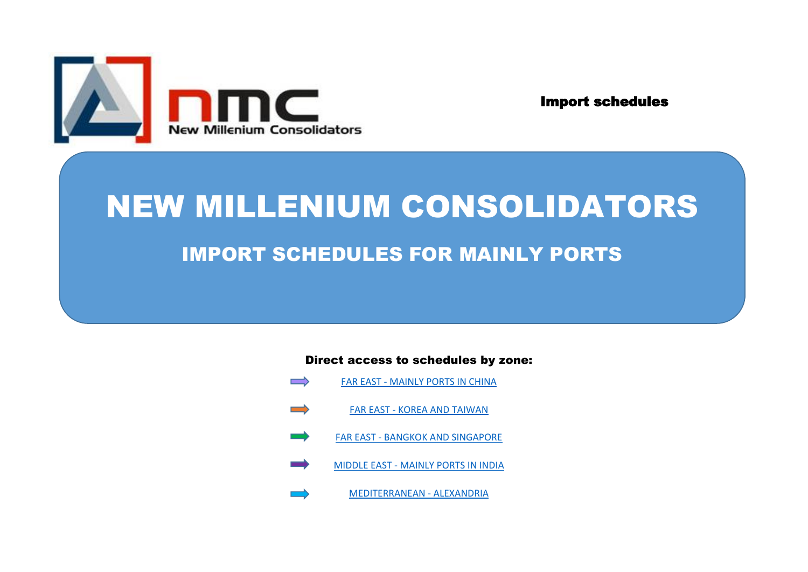

Import schedules

# NEW MILLENIUM CONSOLIDATORS IMPORT SCHEDULES FOR MAINLY PORTS

Direct access to schedules by zone:

- $\implies$ FAR EAST - MAINLY PORTS IN CHINA
- $\implies$ FAR EAST - KOREA AND TAIWAN
	- FAR EAST BANGKOK AND SINGAPORE
- MIDDLE EAST MAINLY PORTS IN INDIA
	- MEDITERRANEAN ALEXANDRIA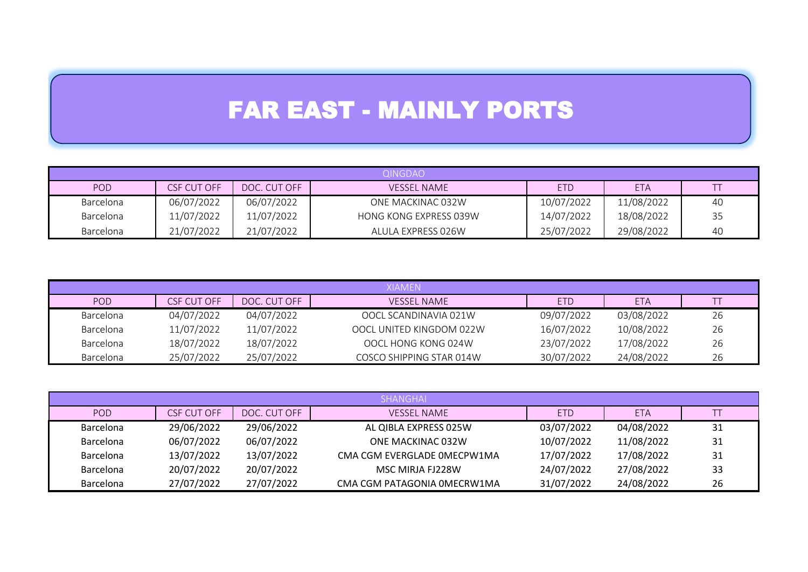## FAR EAST - MAINLY PORTS

|            | <b>QINGDAO</b> |              |                        |            |            |    |  |  |
|------------|----------------|--------------|------------------------|------------|------------|----|--|--|
| <b>POD</b> | CSF CUT OFF    | DOC. CUT OFF | <b>VESSEL NAME</b>     | <b>ETD</b> | <b>ETA</b> |    |  |  |
| Barcelona  | 06/07/2022     | 06/07/2022   | ONE MACKINAC 032W      | 10/07/2022 | 11/08/2022 | 40 |  |  |
| Barcelona  | 11/07/2022     | 11/07/2022   | HONG KONG EXPRESS 039W | 14/07/2022 | 18/08/2022 | 35 |  |  |
| Barcelona  | 21/07/2022     | 21/07/2022   | ALULA EXPRESS 026W     | 25/07/2022 | 29/08/2022 | 40 |  |  |

|                  | <b>XIAMEN</b> |              |                          |            |            |    |  |  |  |
|------------------|---------------|--------------|--------------------------|------------|------------|----|--|--|--|
| POD              | CSF CUT OFF   | DOC. CUT OFF | <b>VESSEL NAME</b>       | <b>ETD</b> | <b>ETA</b> |    |  |  |  |
| Barcelona        | 04/07/2022    | 04/07/2022   | OOCL SCANDINAVIA 021W    | 09/07/2022 | 03/08/2022 | 26 |  |  |  |
| Barcelona        | 11/07/2022    | 11/07/2022   | OOCL UNITED KINGDOM 022W | 16/07/2022 | 10/08/2022 | 26 |  |  |  |
| Barcelona        | 18/07/2022    | 18/07/2022   | OOCL HONG KONG 024W      | 23/07/2022 | 17/08/2022 | 26 |  |  |  |
| <b>Barcelona</b> | 25/07/2022    | 25/07/2022   | COSCO SHIPPING STAR 014W | 30/07/2022 | 24/08/2022 | 26 |  |  |  |

|                  | <b>SHANGHAL</b> |              |                             |            |            |    |  |  |
|------------------|-----------------|--------------|-----------------------------|------------|------------|----|--|--|
| POD.             | CSF CUT OFF     | DOC. CUT OFF | <b>VESSEL NAME</b>          | <b>ETD</b> | <b>ETA</b> |    |  |  |
| <b>Barcelona</b> | 29/06/2022      | 29/06/2022   | AL QIBLA EXPRESS 025W       | 03/07/2022 | 04/08/2022 | 31 |  |  |
| <b>Barcelona</b> | 06/07/2022      | 06/07/2022   | ONE MACKINAC 032W           | 10/07/2022 | 11/08/2022 | 31 |  |  |
| <b>Barcelona</b> | 13/07/2022      | 13/07/2022   | CMA CGM EVERGLADE OMECPW1MA | 17/07/2022 | 17/08/2022 | 31 |  |  |
| <b>Barcelona</b> | 20/07/2022      | 20/07/2022   | MSC MIRJA FJ228W            | 24/07/2022 | 27/08/2022 | 33 |  |  |
| <b>Barcelona</b> | 27/07/2022      | 27/07/2022   | CMA CGM PATAGONIA OMECRW1MA | 31/07/2022 | 24/08/2022 | 26 |  |  |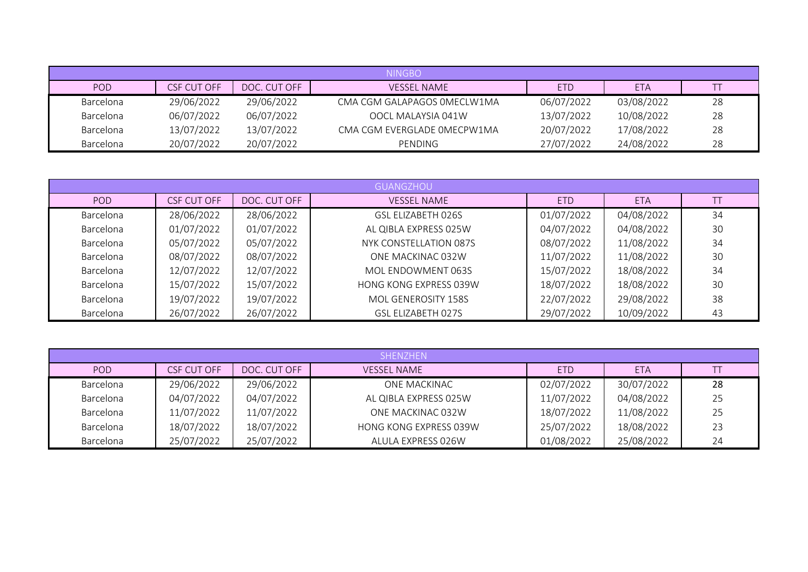|           | <b>NINGBO</b> |              |                             |            |            |    |  |  |  |
|-----------|---------------|--------------|-----------------------------|------------|------------|----|--|--|--|
| POD       | CSF CUT OFF   | DOC. CUT OFF | <b>VESSEL NAME</b>          | <b>ETD</b> | <b>ETA</b> |    |  |  |  |
| Barcelona | 29/06/2022    | 29/06/2022   | CMA CGM GALAPAGOS OMECLW1MA | 06/07/2022 | 03/08/2022 | 28 |  |  |  |
| Barcelona | 06/07/2022    | 06/07/2022   | OOCL MALAYSIA 041W          | 13/07/2022 | 10/08/2022 | 28 |  |  |  |
| Barcelona | 13/07/2022    | 13/07/2022   | CMA CGM EVERGLADE OMECPW1MA | 20/07/2022 | 17/08/2022 | 28 |  |  |  |
| Barcelona | 20/07/2022    | 20/07/2022   | PENDING                     | 27/07/2022 | 24/08/2022 | 28 |  |  |  |

|                  | <b>GUANGZHOU</b> |              |                        |            |            |    |  |  |
|------------------|------------------|--------------|------------------------|------------|------------|----|--|--|
| <b>POD</b>       | CSF CUT OFF      | DOC. CUT OFF | <b>VESSEL NAME</b>     | <b>ETD</b> | <b>ETA</b> |    |  |  |
| <b>Barcelona</b> | 28/06/2022       | 28/06/2022   | GSL ELIZABETH 026S     | 01/07/2022 | 04/08/2022 | 34 |  |  |
| <b>Barcelona</b> | 01/07/2022       | 01/07/2022   | AL QIBLA EXPRESS 025W  | 04/07/2022 | 04/08/2022 | 30 |  |  |
| Barcelona        | 05/07/2022       | 05/07/2022   | NYK CONSTELLATION 087S | 08/07/2022 | 11/08/2022 | 34 |  |  |
| Barcelona        | 08/07/2022       | 08/07/2022   | ONE MACKINAC 032W      | 11/07/2022 | 11/08/2022 | 30 |  |  |
| Barcelona        | 12/07/2022       | 12/07/2022   | MOL ENDOWMENT 063S     | 15/07/2022 | 18/08/2022 | 34 |  |  |
| Barcelona        | 15/07/2022       | 15/07/2022   | HONG KONG EXPRESS 039W | 18/07/2022 | 18/08/2022 | 30 |  |  |
| Barcelona        | 19/07/2022       | 19/07/2022   | MOL GENEROSITY 158S    | 22/07/2022 | 29/08/2022 | 38 |  |  |
| Barcelona        | 26/07/2022       | 26/07/2022   | GSL ELIZABETH 027S     | 29/07/2022 | 10/09/2022 | 43 |  |  |

|           | SHENZHEN           |              |                               |            |            |    |  |  |
|-----------|--------------------|--------------|-------------------------------|------------|------------|----|--|--|
| POD.      | <b>CSF CUT OFF</b> | DOC. CUT OFF | <b>VESSEL NAME</b>            | <b>ETD</b> | <b>ETA</b> |    |  |  |
| Barcelona | 29/06/2022         | 29/06/2022   | ONE MACKINAC                  | 02/07/2022 | 30/07/2022 | 28 |  |  |
| Barcelona | 04/07/2022         | 04/07/2022   | AL QIBLA EXPRESS 025W         | 11/07/2022 | 04/08/2022 | 25 |  |  |
| Barcelona | 11/07/2022         | 11/07/2022   | ONE MACKINAC 032W             | 18/07/2022 | 11/08/2022 | 25 |  |  |
| Barcelona | 18/07/2022         | 18/07/2022   | <b>HONG KONG EXPRESS 039W</b> | 25/07/2022 | 18/08/2022 | 23 |  |  |
| Barcelona | 25/07/2022         | 25/07/2022   | ALULA EXPRESS 026W            | 01/08/2022 | 25/08/2022 | 24 |  |  |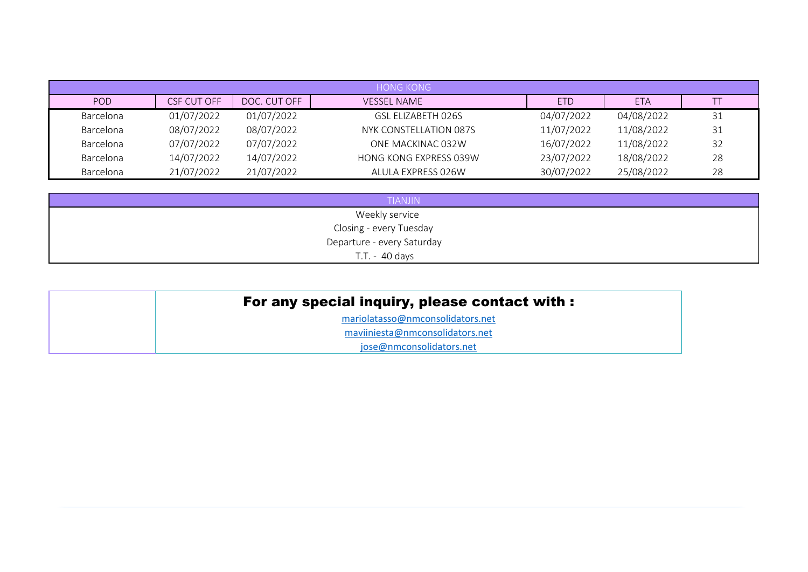|           |                    |              | <b>HONG KONG</b>              |            |            |    |
|-----------|--------------------|--------------|-------------------------------|------------|------------|----|
| POD.      | <b>CSF CUT OFF</b> | DOC. CUT OFF | <b>VESSEL NAME</b>            | <b>ETD</b> | <b>ETA</b> |    |
| Barcelona | 01/07/2022         | 01/07/2022   | GSL ELIZABETH 026S            | 04/07/2022 | 04/08/2022 | 31 |
| Barcelona | 08/07/2022         | 08/07/2022   | NYK CONSTELLATION 087S        | 11/07/2022 | 11/08/2022 | 31 |
| Barcelona | 07/07/2022         | 07/07/2022   | ONE MACKINAC 032W             | 16/07/2022 | 11/08/2022 | 32 |
| Barcelona | 14/07/2022         | 14/07/2022   | <b>HONG KONG EXPRESS 039W</b> | 23/07/2022 | 18/08/2022 | 28 |
| Barcelona | 21/07/2022         | 21/07/2022   | ALULA EXPRESS 026W            | 30/07/2022 | 25/08/2022 | 28 |

| <b>TIANJIN</b>             |
|----------------------------|
| Weekly service             |
| Closing - every Tuesday    |
| Departure - every Saturday |
| T.T. - 40 days             |

| For any special inquiry, please contact with : |  |
|------------------------------------------------|--|
| mariolatasso@nmconsolidators.net               |  |
| maviiniesta@nmconsolidators.net                |  |
| jose@nmconsolidators.net                       |  |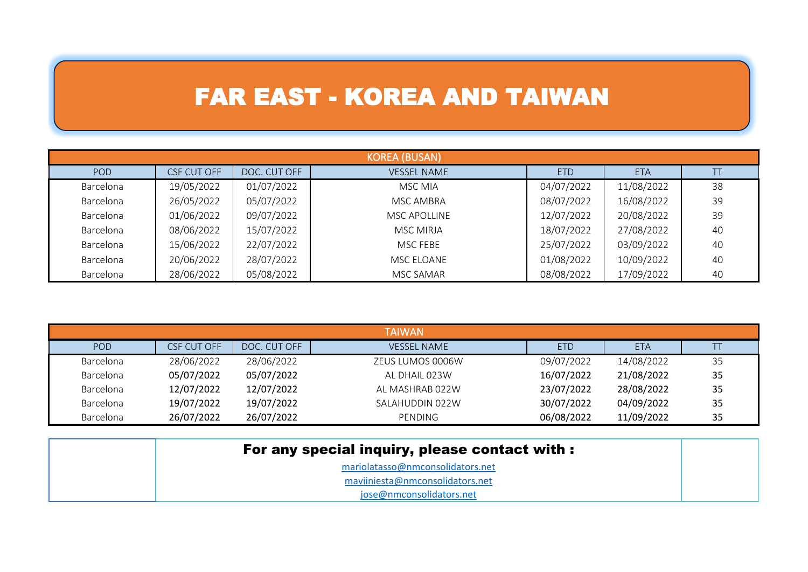#### FAR EAST - KOREA AND TAIWAN

|           | <b>KOREA (BUSAN)</b> |              |                    |            |            |    |  |  |
|-----------|----------------------|--------------|--------------------|------------|------------|----|--|--|
| POD       | CSF CUT OFF          | DOC. CUT OFF | <b>VESSEL NAME</b> | <b>ETD</b> | <b>ETA</b> |    |  |  |
| Barcelona | 19/05/2022           | 01/07/2022   | MSC MIA            | 04/07/2022 | 11/08/2022 | 38 |  |  |
| Barcelona | 26/05/2022           | 05/07/2022   | MSC AMBRA          | 08/07/2022 | 16/08/2022 | 39 |  |  |
| Barcelona | 01/06/2022           | 09/07/2022   | MSC APOLLINE       | 12/07/2022 | 20/08/2022 | 39 |  |  |
| Barcelona | 08/06/2022           | 15/07/2022   | MSC MIRJA          | 18/07/2022 | 27/08/2022 | 40 |  |  |
| Barcelona | 15/06/2022           | 22/07/2022   | MSC FEBE           | 25/07/2022 | 03/09/2022 | 40 |  |  |
| Barcelona | 20/06/2022           | 28/07/2022   | MSC ELOANE         | 01/08/2022 | 10/09/2022 | 40 |  |  |
| Barcelona | 28/06/2022           | 05/08/2022   | MSC SAMAR          | 08/08/2022 | 17/09/2022 | 40 |  |  |

|           | <b>TAIWAN</b> |              |                    |            |            |    |  |  |
|-----------|---------------|--------------|--------------------|------------|------------|----|--|--|
| POD       | CSF CUT OFF   | DOC. CUT OFF | <b>VESSEL NAME</b> | <b>ETD</b> | <b>ETA</b> |    |  |  |
| Barcelona | 28/06/2022    | 28/06/2022   | ZEUS LUMOS 0006W   | 09/07/2022 | 14/08/2022 | 35 |  |  |
| Barcelona | 05/07/2022    | 05/07/2022   | AL DHAIL 023W      | 16/07/2022 | 21/08/2022 | 35 |  |  |
| Barcelona | 12/07/2022    | 12/07/2022   | AL MASHRAB 022W    | 23/07/2022 | 28/08/2022 | 35 |  |  |
| Barcelona | 19/07/2022    | 19/07/2022   | SALAHUDDIN 022W    | 30/07/2022 | 04/09/2022 | 35 |  |  |
| Barcelona | 26/07/2022    | 26/07/2022   | PENDING            | 06/08/2022 | 11/09/2022 | 35 |  |  |

| For any special inquiry, please contact with : |  |
|------------------------------------------------|--|
| mariolatasso@nmconsolidators.net               |  |
| maviiniesta@nmconsolidators.net                |  |
| jose@nmconsolidators.net                       |  |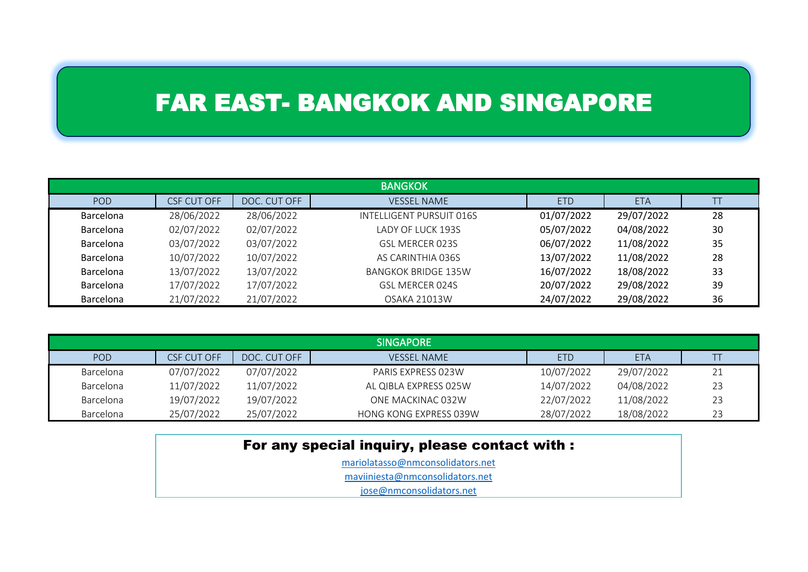### FAR EAST- BANGKOK AND SINGAPORE

| <b>BANGKOK</b>   |             |              |                            |            |            |    |  |
|------------------|-------------|--------------|----------------------------|------------|------------|----|--|
| POD              | CSF CUT OFF | DOC. CUT OFF | <b>VESSEL NAME</b>         | <b>ETD</b> | <b>ETA</b> |    |  |
| Barcelona        | 28/06/2022  | 28/06/2022   | INTELLIGENT PURSUIT 016S   | 01/07/2022 | 29/07/2022 | 28 |  |
| Barcelona        | 02/07/2022  | 02/07/2022   | LADY OF LUCK 193S          | 05/07/2022 | 04/08/2022 | 30 |  |
| Barcelona        | 03/07/2022  | 03/07/2022   | GSL MERCER 023S            | 06/07/2022 | 11/08/2022 | 35 |  |
| Barcelona        | 10/07/2022  | 10/07/2022   | AS CARINTHIA 036S          | 13/07/2022 | 11/08/2022 | 28 |  |
| Barcelona        | 13/07/2022  | 13/07/2022   | <b>BANGKOK BRIDGE 135W</b> | 16/07/2022 | 18/08/2022 | 33 |  |
| Barcelona        | 17/07/2022  | 17/07/2022   | GSL MERCER 024S            | 20/07/2022 | 29/08/2022 | 39 |  |
| <b>Barcelona</b> | 21/07/2022  | 21/07/2022   | <b>OSAKA 21013W</b>        | 24/07/2022 | 29/08/2022 | 36 |  |

| <b>SINGAPORE</b> |             |              |                        |            |            |    |  |
|------------------|-------------|--------------|------------------------|------------|------------|----|--|
| POD              | CSF CUT OFF | DOC. CUT OFF | <b>VESSEL NAME</b>     | <b>ETD</b> | <b>ETA</b> |    |  |
| <b>Barcelona</b> | 07/07/2022  | 07/07/2022   | PARIS EXPRESS 023W     | 10/07/2022 | 29/07/2022 |    |  |
| Barcelona        | 11/07/2022  | 11/07/2022   | AL QIBLA EXPRESS 025W  | 14/07/2022 | 04/08/2022 | 23 |  |
| <b>Barcelona</b> | 19/07/2022  | 19/07/2022   | ONE MACKINAC 032W      | 22/07/2022 | 11/08/2022 | 23 |  |
| <b>Barcelona</b> | 25/07/2022  | 25/07/2022   | HONG KONG EXPRESS 039W | 28/07/2022 | 18/08/2022 | 23 |  |

| For any special inquiry, please contact with : |  |  |  |  |  |
|------------------------------------------------|--|--|--|--|--|
| mariolatasso@nmconsolidators.net               |  |  |  |  |  |
| maviiniesta@nmconsolidators.net                |  |  |  |  |  |
| jose@nmconsolidators.net                       |  |  |  |  |  |
|                                                |  |  |  |  |  |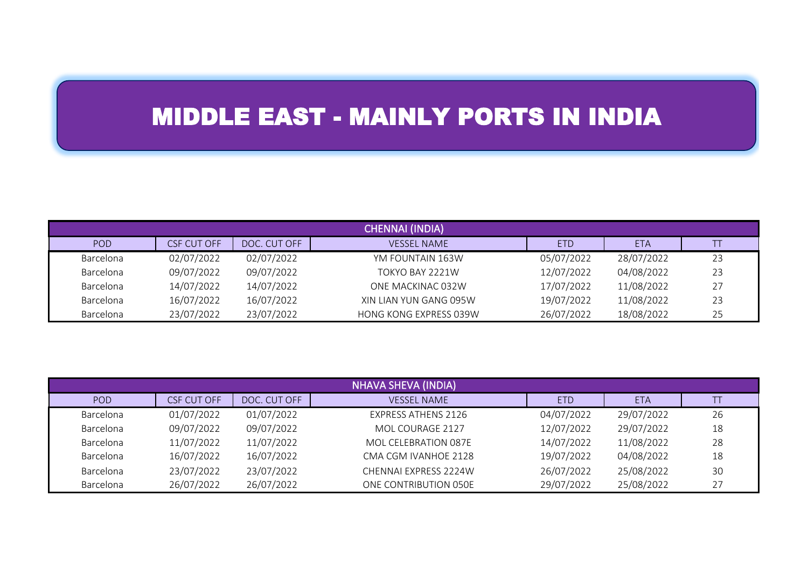## MIDDLE EAST - MAINLY PORTS IN INDIA

| <b>CHENNAI (INDIA)</b> |             |              |                        |            |            |    |  |
|------------------------|-------------|--------------|------------------------|------------|------------|----|--|
| POD                    | CSF CUT OFF | DOC. CUT OFF | <b>VESSEL NAME</b>     | <b>ETD</b> | <b>ETA</b> |    |  |
| Barcelona              | 02/07/2022  | 02/07/2022   | YM FOUNTAIN 163W       | 05/07/2022 | 28/07/2022 | 23 |  |
| Barcelona              | 09/07/2022  | 09/07/2022   | TOKYO BAY 2221W        | 12/07/2022 | 04/08/2022 | 23 |  |
| Barcelona              | 14/07/2022  | 14/07/2022   | ONE MACKINAC 032W      | 17/07/2022 | 11/08/2022 | 27 |  |
| Barcelona              | 16/07/2022  | 16/07/2022   | XIN LIAN YUN GANG 095W | 19/07/2022 | 11/08/2022 | 23 |  |
| Barcelona              | 23/07/2022  | 23/07/2022   | HONG KONG EXPRESS 039W | 26/07/2022 | 18/08/2022 | 25 |  |

| <b>NHAVA SHEVA (INDIA)</b> |                    |              |                            |            |            |    |
|----------------------------|--------------------|--------------|----------------------------|------------|------------|----|
| POD                        | <b>CSF CUT OFF</b> | DOC. CUT OFF | <b>VESSEL NAME</b>         | <b>ETD</b> | <b>ETA</b> |    |
| Barcelona                  | 01/07/2022         | 01/07/2022   | <b>EXPRESS ATHENS 2126</b> | 04/07/2022 | 29/07/2022 | 26 |
| Barcelona                  | 09/07/2022         | 09/07/2022   | MOL COURAGE 2127           | 12/07/2022 | 29/07/2022 | 18 |
| Barcelona                  | 11/07/2022         | 11/07/2022   | MOL CELEBRATION 087E       | 14/07/2022 | 11/08/2022 | 28 |
| Barcelona                  | 16/07/2022         | 16/07/2022   | CMA CGM IVANHOE 2128       | 19/07/2022 | 04/08/2022 | 18 |
| Barcelona                  | 23/07/2022         | 23/07/2022   | CHENNAI EXPRESS 2224W      | 26/07/2022 | 25/08/2022 | 30 |
| Barcelona                  | 26/07/2022         | 26/07/2022   | ONE CONTRIBUTION 050E      | 29/07/2022 | 25/08/2022 | 27 |